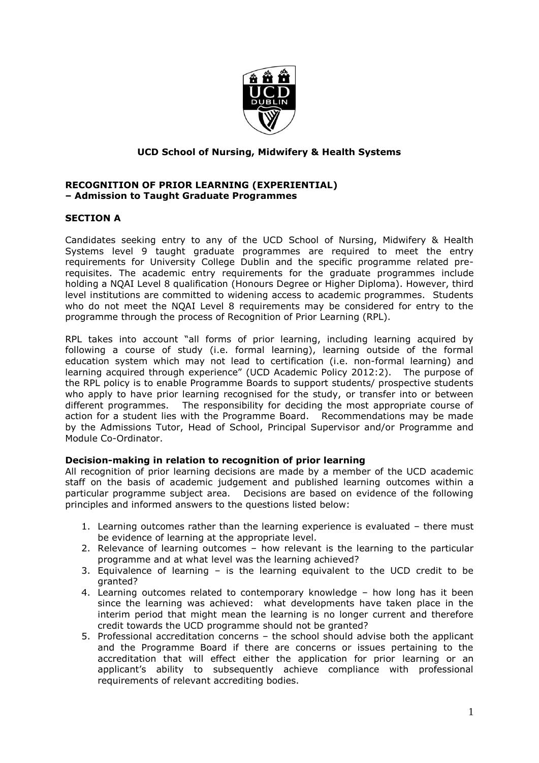

# **UCD School of Nursing, Midwifery & Health Systems**

#### **RECOGNITION OF PRIOR LEARNING (EXPERIENTIAL) – Admission to Taught Graduate Programmes**

## **SECTION A**

Candidates seeking entry to any of the UCD School of Nursing, Midwifery & Health Systems level 9 taught graduate programmes are required to meet the entry requirements for University College Dublin and the specific programme related prerequisites. The academic entry requirements for the graduate programmes include holding a NQAI Level 8 qualification (Honours Degree or Higher Diploma). However, third level institutions are committed to widening access to academic programmes. Students who do not meet the NQAI Level 8 requirements may be considered for entry to the programme through the process of Recognition of Prior Learning (RPL).

RPL takes into account "all forms of prior learning, including learning acquired by following a course of study (i.e. formal learning), learning outside of the formal education system which may not lead to certification (i.e. non-formal learning) and learning acquired through experience" (UCD Academic Policy 2012:2). The purpose of the RPL policy is to enable Programme Boards to support students/ prospective students who apply to have prior learning recognised for the study, or transfer into or between different programmes. The responsibility for deciding the most appropriate course of action for a student lies with the Programme Board. Recommendations may be made by the Admissions Tutor, Head of School, Principal Supervisor and/or Programme and Module Co-Ordinator.

#### **Decision-making in relation to recognition of prior learning**

All recognition of prior learning decisions are made by a member of the UCD academic staff on the basis of academic judgement and published learning outcomes within a particular programme subject area. Decisions are based on evidence of the following principles and informed answers to the questions listed below:

- 1. Learning outcomes rather than the learning experience is evaluated there must be evidence of learning at the appropriate level.
- 2. Relevance of learning outcomes how relevant is the learning to the particular programme and at what level was the learning achieved?
- 3. Equivalence of learning is the learning equivalent to the UCD credit to be granted?
- 4. Learning outcomes related to contemporary knowledge how long has it been since the learning was achieved: what developments have taken place in the interim period that might mean the learning is no longer current and therefore credit towards the UCD programme should not be granted?
- 5. Professional accreditation concerns the school should advise both the applicant and the Programme Board if there are concerns or issues pertaining to the accreditation that will effect either the application for prior learning or an applicant's ability to subsequently achieve compliance with professional requirements of relevant accrediting bodies.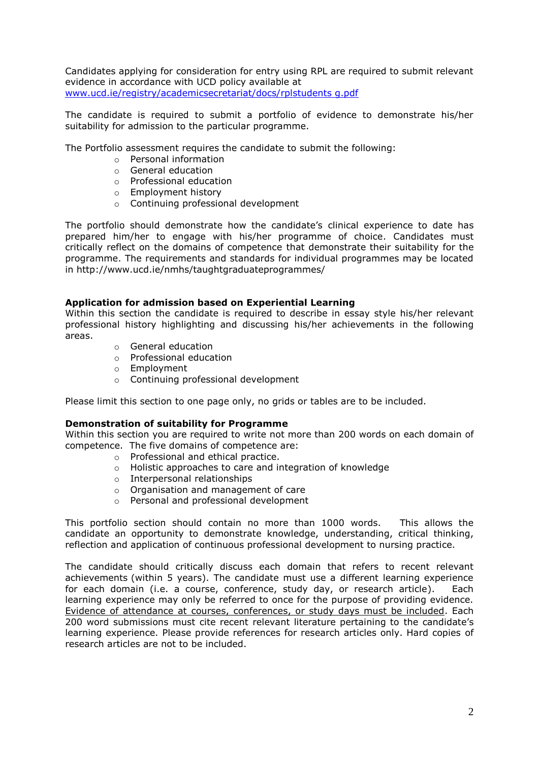Candidates applying for consideration for entry using RPL are required to submit relevant evidence in accordance with UCD policy available at [www.ucd.ie/registry/academicsecretariat/docs/rplstudents g.pdf](http://www.ucd.ie/registry/academicsecretariat/docs/rplstudents%20g.pdf)

The candidate is required to submit a portfolio of evidence to demonstrate his/her suitability for admission to the particular programme.

The Portfolio assessment requires the candidate to submit the following:

- o Personal information
- o General education
- o Professional education
- o Employment history
- o Continuing professional development

The portfolio should demonstrate how the candidate's clinical experience to date has prepared him/her to engage with his/her programme of choice. Candidates must critically reflect on the domains of competence that demonstrate their suitability for the programme. The requirements and standards for individual programmes may be located in http://www.ucd.ie/nmhs/taughtgraduateprogrammes/

## **Application for admission based on Experiential Learning**

Within this section the candidate is required to describe in essay style his/her relevant professional history highlighting and discussing his/her achievements in the following areas.

- o General education
- o Professional education
- o Employment
- o Continuing professional development

Please limit this section to one page only, no grids or tables are to be included.

#### **Demonstration of suitability for Programme**

Within this section you are required to write not more than 200 words on each domain of competence. The five domains of competence are:

- o Professional and ethical practice.
- o Holistic approaches to care and integration of knowledge
- o Interpersonal relationships
- o Organisation and management of care
- o Personal and professional development

This portfolio section should contain no more than 1000 words. This allows the candidate an opportunity to demonstrate knowledge, understanding, critical thinking, reflection and application of continuous professional development to nursing practice.

The candidate should critically discuss each domain that refers to recent relevant achievements (within 5 years). The candidate must use a different learning experience for each domain (i.e. a course, conference, study day, or research article). Each learning experience may only be referred to once for the purpose of providing evidence. Evidence of attendance at courses, conferences, or study days must be included. Each 200 word submissions must cite recent relevant literature pertaining to the candidate's learning experience. Please provide references for research articles only. Hard copies of research articles are not to be included.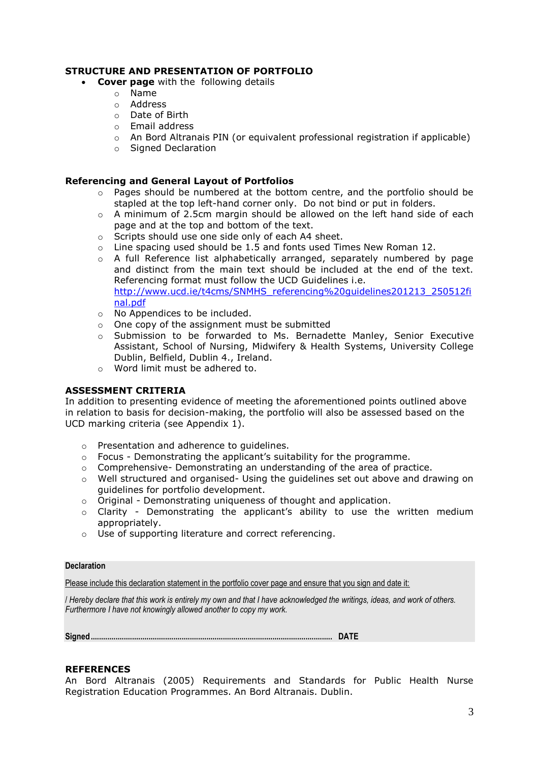# **STRUCTURE AND PRESENTATION OF PORTFOLIO**

- **Cover page** with the following details
	- o Name
	- o Address
	- o Date of Birth
	- o Email address
	- $\circ$  An Bord Altranais PIN (or equivalent professional registration if applicable)
	- o Signed Declaration

## **Referencing and General Layout of Portfolios**

- o Pages should be numbered at the bottom centre, and the portfolio should be stapled at the top left-hand corner only. Do not bind or put in folders.
- o A minimum of 2.5cm margin should be allowed on the left hand side of each page and at the top and bottom of the text.
- o Scripts should use one side only of each A4 sheet.
- o Line spacing used should be 1.5 and fonts used Times New Roman 12.
- o A full Reference list alphabetically arranged, separately numbered by page and distinct from the main text should be included at the end of the text. Referencing format must follow the UCD Guidelines i.e. [http://www.ucd.ie/t4cms/SNMHS\\_referencing%20guidelines201213\\_250512fi](http://www.ucd.ie/t4cms/SNMHS_referencing%20guidelines201213_250512final.pdf) [nal.pdf](http://www.ucd.ie/t4cms/SNMHS_referencing%20guidelines201213_250512final.pdf)
- o No Appendices to be included.
- o One copy of the assignment must be submitted
- $\circ$  Submission to be forwarded to Ms. Bernadette Manley, Senior Executive Assistant, School of Nursing, Midwifery & Health Systems, University College Dublin, Belfield, Dublin 4., Ireland.
- o Word limit must be adhered to.

#### **ASSESSMENT CRITERIA**

In addition to presenting evidence of meeting the aforementioned points outlined above in relation to basis for decision-making, the portfolio will also be assessed based on the UCD marking criteria (see Appendix 1).

- o Presentation and adherence to guidelines.
- o Focus Demonstrating the applicant's suitability for the programme.
- o Comprehensive- Demonstrating an understanding of the area of practice.
- $\circ$  Well structured and organised- Using the guidelines set out above and drawing on guidelines for portfolio development.
- o Original Demonstrating uniqueness of thought and application.
- o Clarity Demonstrating the applicant's ability to use the written medium appropriately.
- o Use of supporting literature and correct referencing.

#### **Declaration**

Please include this declaration statement in the portfolio cover page and ensure that you sign and date it:

/ *Hereby declare that this work is entirely my own and that I have acknowledged the writings, ideas, and work of others. Furthermore I have not knowingly allowed another to copy my work.*

**Signed..................................................................................................................... DATE** 

#### **REFERENCES**

An Bord Altranais (2005) Requirements and Standards for Public Health Nurse Registration Education Programmes. An Bord Altranais. Dublin.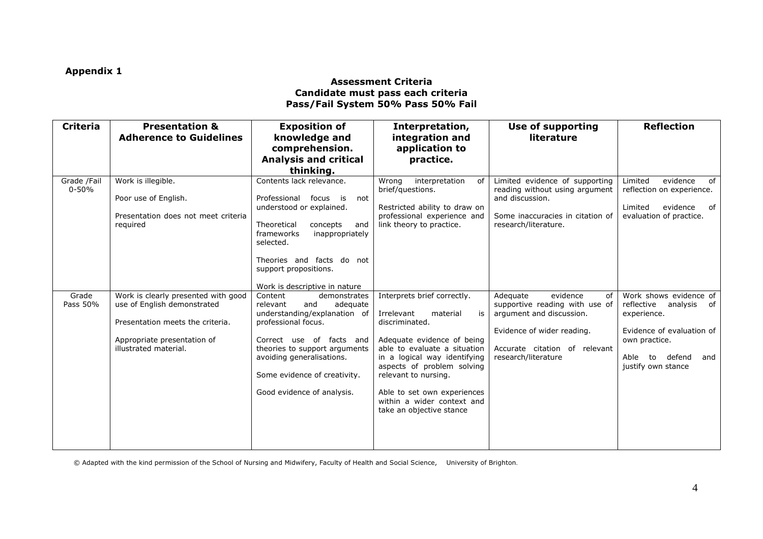# **Appendix 1**

### **Assessment Criteria Candidate must pass each criteria Pass/Fail System 50% Pass 50% Fail**

| <b>Criteria</b>          | <b>Presentation &amp;</b><br><b>Adherence to Guidelines</b>                                                                                                    | <b>Exposition of</b><br>knowledge and<br>comprehension.<br><b>Analysis and critical</b>                                                                                                                                                                               | Interpretation,<br>integration and<br>application to<br>practice.                                                                                                                                                                                                                                                          | <b>Use of supporting</b><br>literature                                                                                                                                         | <b>Reflection</b>                                                                                                                                                  |
|--------------------------|----------------------------------------------------------------------------------------------------------------------------------------------------------------|-----------------------------------------------------------------------------------------------------------------------------------------------------------------------------------------------------------------------------------------------------------------------|----------------------------------------------------------------------------------------------------------------------------------------------------------------------------------------------------------------------------------------------------------------------------------------------------------------------------|--------------------------------------------------------------------------------------------------------------------------------------------------------------------------------|--------------------------------------------------------------------------------------------------------------------------------------------------------------------|
|                          |                                                                                                                                                                | thinking.                                                                                                                                                                                                                                                             |                                                                                                                                                                                                                                                                                                                            |                                                                                                                                                                                |                                                                                                                                                                    |
| Grade /Fail<br>$0 - 50%$ | Work is illegible.<br>Poor use of English.<br>Presentation does not meet criteria<br>reguired                                                                  | Contents lack relevance.<br>Professional focus<br>is<br>not<br>understood or explained.<br>Theoretical<br>concepts<br>and<br>frameworks<br>inappropriately<br>selected.<br>Theories and facts do not<br>support propositions.                                         | Wrona<br>interpretation<br>of l<br>brief/questions.<br>Restricted ability to draw on<br>professional experience and<br>link theory to practice.                                                                                                                                                                            | Limited evidence of supporting<br>reading without using argument<br>and discussion.<br>Some inaccuracies in citation of<br>research/literature.                                | Limited<br>evidence<br>of<br>reflection on experience.<br>Limited<br>evidence<br>of<br>evaluation of practice.                                                     |
|                          |                                                                                                                                                                | Work is descriptive in nature                                                                                                                                                                                                                                         |                                                                                                                                                                                                                                                                                                                            |                                                                                                                                                                                |                                                                                                                                                                    |
| Grade<br>Pass 50%        | Work is clearly presented with good<br>use of English demonstrated<br>Presentation meets the criteria.<br>Appropriate presentation of<br>illustrated material. | Content<br>demonstrates<br>adequate<br>relevant<br>and<br>understanding/explanation of<br>professional focus.<br>Correct use of facts and<br>theories to support arguments<br>avoiding generalisations.<br>Some evidence of creativity.<br>Good evidence of analysis. | Interprets brief correctly.<br>Irrelevant<br>material<br>is<br>discriminated.<br>Adequate evidence of being<br>able to evaluate a situation<br>in a logical way identifying<br>aspects of problem solving<br>relevant to nursing.<br>Able to set own experiences<br>within a wider context and<br>take an objective stance | evidence<br>Adequate<br>of<br>supportive reading with use of<br>argument and discussion.<br>Evidence of wider reading.<br>Accurate citation of relevant<br>research/literature | Work shows evidence of<br>reflective<br>analysis of<br>experience.<br>Evidence of evaluation of<br>own practice.<br>defend<br>Able to<br>and<br>justify own stance |

© Adapted with the kind permission of the School of Nursing and Midwifery, Faculty of Health and Social Science, University of Brighton.